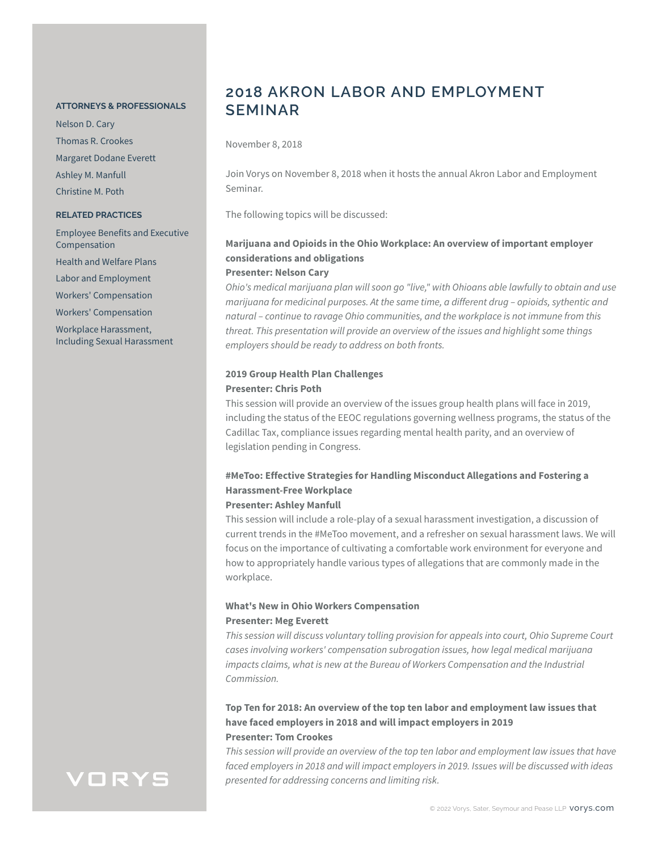#### **ATTORNEYS & PROFESSIONALS**

Nelson D. Cary Thomas R. Crookes Margaret Dodane Everett Ashley M. Manfull Christine M. Poth

### **RELATED PRACTICES**

Employee Benefits and Executive Compensation Health and Welfare Plans Labor and Employment Workers' Compensation Workers' Compensation Workplace Harassment, Including Sexual Harassment

# **2018 AKRON LABOR AND EMPLOYMENT SEMINAR**

November 8, 2018

Join Vorys on November 8, 2018 when it hosts the annual Akron Labor and Employment Seminar.

The following topics will be discussed:

## **Marijuana and Opioids in the Ohio Workplace: An overview of important employer considerations and obligations**

### **Presenter: Nelson Cary**

*Ohio's medical marijuana plan will soon go "live," with Ohioans able lawfully to obtain and use marijuana for medicinal purposes. At the same time, a different drug – opioids, sythentic and natural – continue to ravage Ohio communities, and the workplace is not immune from this threat. This presentation will provide an overview of the issues and highlight some things employers should be ready to address on both fronts.*

### **2019 Group Health Plan Challenges Presenter: Chris Poth**

This session will provide an overview of the issues group health plans will face in 2019, including the status of the EEOC regulations governing wellness programs, the status of the Cadillac Tax, compliance issues regarding mental health parity, and an overview of legislation pending in Congress.

### **#MeToo: Effective Strategies for Handling Misconduct Allegations and Fostering a Harassment-Free Workplace**

### **Presenter: Ashley Manfull**

This session will include a role-play of a sexual harassment investigation, a discussion of current trends in the #MeToo movement, and a refresher on sexual harassment laws. We will focus on the importance of cultivating a comfortable work environment for everyone and how to appropriately handle various types of allegations that are commonly made in the workplace.

### **What's New in Ohio Workers Compensation Presenter: Meg Everett**

*This session will discuss voluntary tolling provision for appeals into court, Ohio Supreme Court cases involving workers' compensation subrogation issues, how legal medical marijuana impacts claims, what is new at the Bureau of Workers Compensation and the Industrial Commission.*

### **Top Ten for 2018: An overview of the top ten labor and employment law issues that have faced employers in 2018 and will impact employers in 2019 Presenter: Tom Crookes**

*This session will provide an overview of the top ten labor and employment law issues that have faced employers in 2018 and will impact employers in 2019. Issues will be discussed with ideas presented for addressing concerns and limiting risk.*